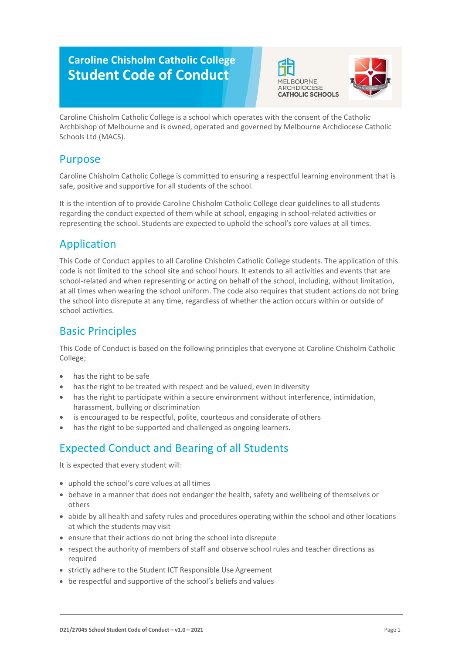# **Caroline Chisholm Catholic College Student Code of Conduct**





Caroline Chisholm Catholic College is a school which operates with the consent of the Catholic Archbishop of Melbourne and is owned, operated and governed by Melbourne Archdiocese Catholic Schools Ltd (MACS).

#### Purpose

Caroline Chisholm Catholic College is committed to ensuring a respectful learning environment that is safe, positive and supportive for all students of the school.

It is the intention of to provide Caroline Chisholm Catholic College clear guidelines to all students regarding the conduct expected of them while at school, engaging in school-related activities or representing the school. Students are expected to uphold the school's core values at all times.

## Application

This Code of Conduct applies to all Caroline Chisholm Catholic College students. The application of this code is not limited to the school site and school hours. It extends to all activities and events that are school-related and when representing or acting on behalf of the school, including, without limitation, at all times when wearing the school uniform. The code also requires that student actions do not bring the school into disrepute at any time, regardless of whether the action occurs within or outside of school activities.

### Basic Principles

This Code of Conduct is based on the following principles that everyone at Caroline Chisholm Catholic College;

- has the right to be safe
- has the right to be treated with respect and be valued, even in diversity
- has the right to participate within a secure environment without interference, intimidation, harassment, bullying or discrimination
- is encouraged to be respectful, polite, courteous and considerate of others
- has the right to be supported and challenged as ongoing learners.

## Expected Conduct and Bearing of all Students

It is expected that every student will:

- uphold the school's core values at all times
- behave in a manner that does not endanger the health, safety and wellbeing of themselves or others
- abide by all health and safety rules and procedures operating within the school and other locations at which the students may visit
- ensure that their actions do not bring the school into disrepute
- respect the authority of members of staff and observe school rules and teacher directions as required
- strictly adhere to the Student ICT Responsible Use Agreement
- be respectful and supportive of the school's beliefs and values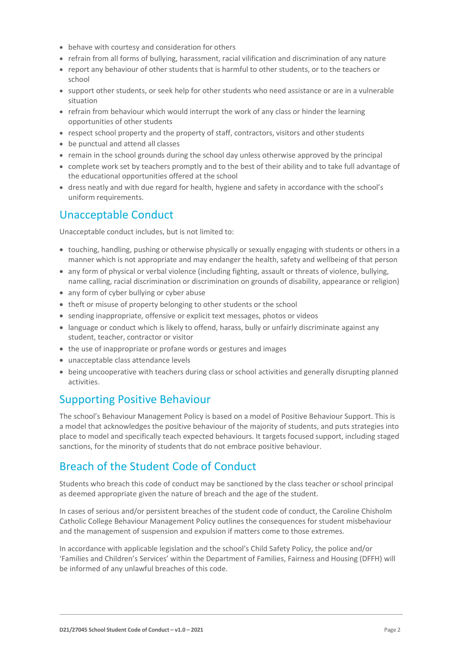- behave with courtesy and consideration for others
- refrain from all forms of bullying, harassment, racial vilification and discrimination of any nature
- report any behaviour of other students that is harmful to other students, or to the teachers or school
- support other students, or seek help for other students who need assistance or are in a vulnerable situation
- refrain from behaviour which would interrupt the work of any class or hinder the learning opportunities of other students
- respect school property and the property of staff, contractors, visitors and other students
- be punctual and attend all classes
- remain in the school grounds during the school day unless otherwise approved by the principal
- complete work set by teachers promptly and to the best of their ability and to take full advantage of the educational opportunities offered at the school
- dress neatly and with due regard for health, hygiene and safety in accordance with the school's uniform requirements.

#### Unacceptable Conduct

Unacceptable conduct includes, but is not limited to:

- touching, handling, pushing or otherwise physically or sexually engaging with students or others in a manner which is not appropriate and may endanger the health, safety and wellbeing of that person
- any form of physical or verbal violence (including fighting, assault or threats of violence, bullying, name calling, racial discrimination or discrimination on grounds of disability, appearance or religion)
- any form of cyber bullying or cyber abuse
- theft or misuse of property belonging to other students or the school
- sending inappropriate, offensive or explicit text messages, photos or videos
- language or conduct which is likely to offend, harass, bully or unfairly discriminate against any student, teacher, contractor or visitor
- the use of inappropriate or profane words or gestures and images
- unacceptable class attendance levels
- being uncooperative with teachers during class or school activities and generally disrupting planned activities.

#### Supporting Positive Behaviour

The school's Behaviour Management Policy is based on a model of Positive Behaviour Support. This is a model that acknowledges the positive behaviour of the majority of students, and puts strategies into place to model and specifically teach expected behaviours. It targets focused support, including staged sanctions, for the minority of students that do not embrace positive behaviour.

#### Breach of the Student Code of Conduct

Students who breach this code of conduct may be sanctioned by the class teacher or school principal as deemed appropriate given the nature of breach and the age of the student.

In cases of serious and/or persistent breaches of the student code of conduct, the Caroline Chisholm Catholic College Behaviour Management Policy outlines the consequences for student misbehaviour and the management of suspension and expulsion if matters come to those extremes.

In accordance with applicable legislation and the school's Child Safety Policy, the police and/or 'Families and Children's Services' within the Department of Families, Fairness and Housing (DFFH) will be informed of any unlawful breaches of this code.